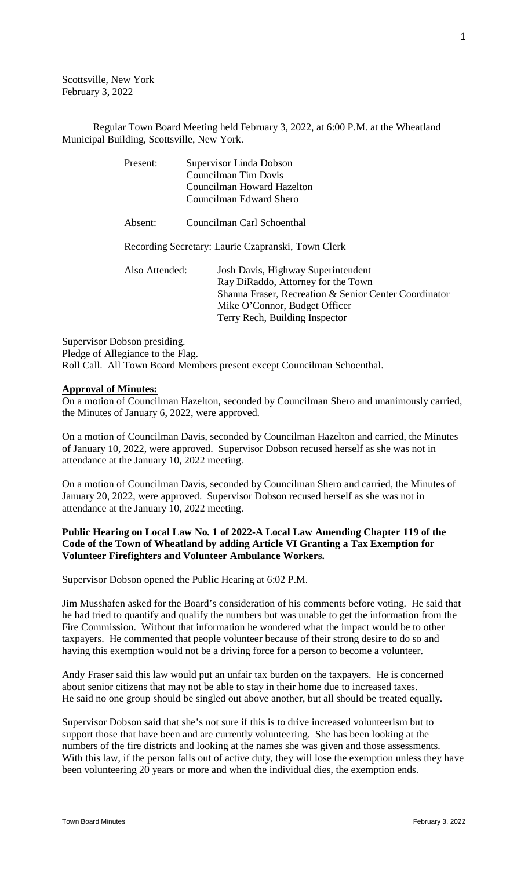Scottsville, New York February 3, 2022

Regular Town Board Meeting held February 3, 2022, at 6:00 P.M. at the Wheatland Municipal Building, Scottsville, New York.

| Present:       | Supervisor Linda Dobson                                                                                                                                                                              |  |
|----------------|------------------------------------------------------------------------------------------------------------------------------------------------------------------------------------------------------|--|
|                | Councilman Tim Davis                                                                                                                                                                                 |  |
|                | Councilman Howard Hazelton                                                                                                                                                                           |  |
|                | Councilman Edward Shero                                                                                                                                                                              |  |
| Absent:        | Councilman Carl Schoenthal                                                                                                                                                                           |  |
|                | Recording Secretary: Laurie Czapranski, Town Clerk                                                                                                                                                   |  |
| Also Attended: | Josh Davis, Highway Superintendent<br>Ray DiRaddo, Attorney for the Town<br>Shanna Fraser, Recreation & Senior Center Coordinator<br>Mike O'Connor, Budget Officer<br>Terry Rech, Building Inspector |  |
|                |                                                                                                                                                                                                      |  |

Supervisor Dobson presiding. Pledge of Allegiance to the Flag. Roll Call. All Town Board Members present except Councilman Schoenthal.

#### **Approval of Minutes:**

On a motion of Councilman Hazelton, seconded by Councilman Shero and unanimously carried, the Minutes of January 6, 2022, were approved.

On a motion of Councilman Davis, seconded by Councilman Hazelton and carried, the Minutes of January 10, 2022, were approved. Supervisor Dobson recused herself as she was not in attendance at the January 10, 2022 meeting.

On a motion of Councilman Davis, seconded by Councilman Shero and carried, the Minutes of January 20, 2022, were approved. Supervisor Dobson recused herself as she was not in attendance at the January 10, 2022 meeting.

# **Public Hearing on Local Law No. 1 of 2022-A Local Law Amending Chapter 119 of the Code of the Town of Wheatland by adding Article VI Granting a Tax Exemption for Volunteer Firefighters and Volunteer Ambulance Workers.**

Supervisor Dobson opened the Public Hearing at 6:02 P.M.

Jim Musshafen asked for the Board's consideration of his comments before voting. He said that he had tried to quantify and qualify the numbers but was unable to get the information from the Fire Commission. Without that information he wondered what the impact would be to other taxpayers. He commented that people volunteer because of their strong desire to do so and having this exemption would not be a driving force for a person to become a volunteer.

Andy Fraser said this law would put an unfair tax burden on the taxpayers. He is concerned about senior citizens that may not be able to stay in their home due to increased taxes. He said no one group should be singled out above another, but all should be treated equally.

Supervisor Dobson said that she's not sure if this is to drive increased volunteerism but to support those that have been and are currently volunteering. She has been looking at the numbers of the fire districts and looking at the names she was given and those assessments. With this law, if the person falls out of active duty, they will lose the exemption unless they have been volunteering 20 years or more and when the individual dies, the exemption ends.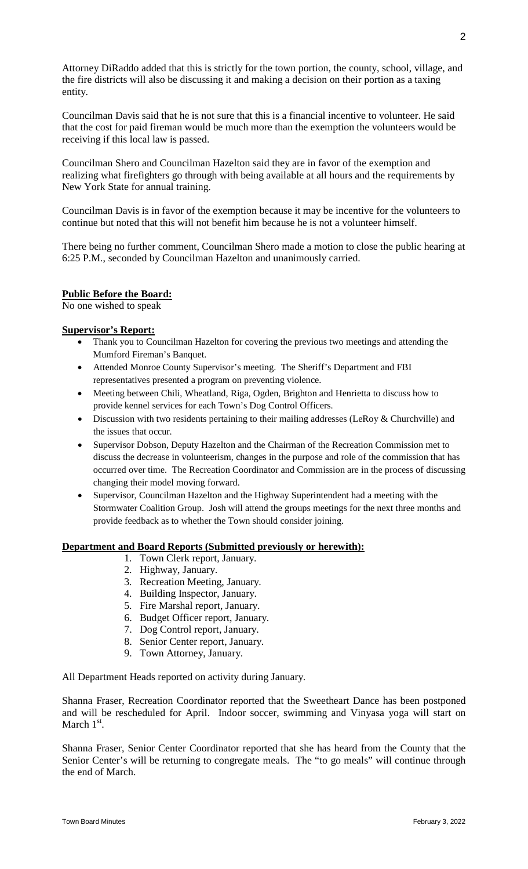Attorney DiRaddo added that this is strictly for the town portion, the county, school, village, and the fire districts will also be discussing it and making a decision on their portion as a taxing entity.

Councilman Davis said that he is not sure that this is a financial incentive to volunteer. He said that the cost for paid fireman would be much more than the exemption the volunteers would be receiving if this local law is passed.

Councilman Shero and Councilman Hazelton said they are in favor of the exemption and realizing what firefighters go through with being available at all hours and the requirements by New York State for annual training.

Councilman Davis is in favor of the exemption because it may be incentive for the volunteers to continue but noted that this will not benefit him because he is not a volunteer himself.

There being no further comment, Councilman Shero made a motion to close the public hearing at 6:25 P.M., seconded by Councilman Hazelton and unanimously carried.

# **Public Before the Board:**

No one wished to speak

#### **Supervisor's Report:**

- Thank you to Councilman Hazelton for covering the previous two meetings and attending the Mumford Fireman's Banquet.
- Attended Monroe County Supervisor's meeting. The Sheriff's Department and FBI representatives presented a program on preventing violence.
- Meeting between Chili, Wheatland, Riga, Ogden, Brighton and Henrietta to discuss how to provide kennel services for each Town's Dog Control Officers.
- Discussion with two residents pertaining to their mailing addresses (LeRoy & Churchville) and the issues that occur.
- Supervisor Dobson, Deputy Hazelton and the Chairman of the Recreation Commission met to discuss the decrease in volunteerism, changes in the purpose and role of the commission that has occurred over time. The Recreation Coordinator and Commission are in the process of discussing changing their model moving forward.
- Supervisor, Councilman Hazelton and the Highway Superintendent had a meeting with the Stormwater Coalition Group. Josh will attend the groups meetings for the next three months and provide feedback as to whether the Town should consider joining.

# **Department and Board Reports (Submitted previously or herewith):**

- 1. Town Clerk report, January.
- 2. Highway, January.
- 3. Recreation Meeting, January.
- 4. Building Inspector, January.
- 5. Fire Marshal report, January.
- 6. Budget Officer report, January.
- 7. Dog Control report, January.
- 8. Senior Center report, January.
- 9. Town Attorney, January.

All Department Heads reported on activity during January.

Shanna Fraser, Recreation Coordinator reported that the Sweetheart Dance has been postponed and will be rescheduled for April. Indoor soccer, swimming and Vinyasa yoga will start on March  $1<sup>st</sup>$ .

Shanna Fraser, Senior Center Coordinator reported that she has heard from the County that the Senior Center's will be returning to congregate meals. The "to go meals" will continue through the end of March.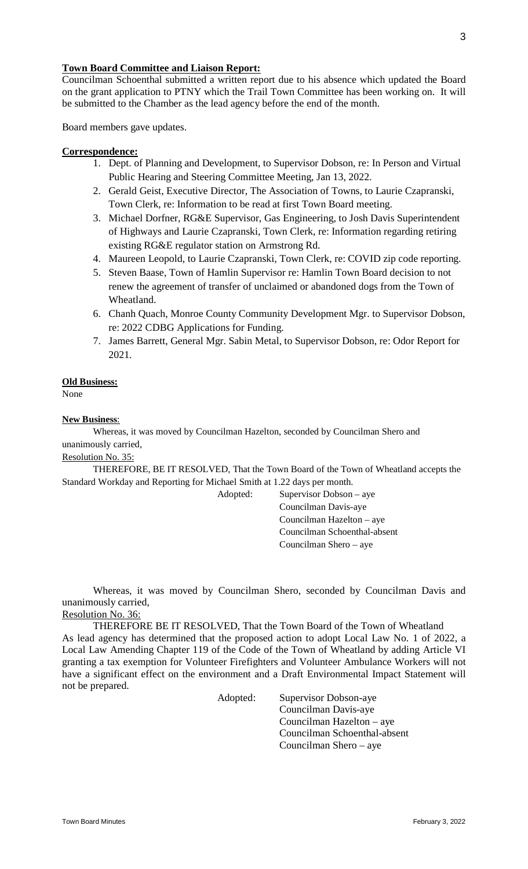# **Town Board Committee and Liaison Report:**

Councilman Schoenthal submitted a written report due to his absence which updated the Board on the grant application to PTNY which the Trail Town Committee has been working on. It will be submitted to the Chamber as the lead agency before the end of the month.

Board members gave updates.

# **Correspondence:**

- 1. Dept. of Planning and Development, to Supervisor Dobson, re: In Person and Virtual Public Hearing and Steering Committee Meeting, Jan 13, 2022.
- 2. Gerald Geist, Executive Director, The Association of Towns, to Laurie Czapranski, Town Clerk, re: Information to be read at first Town Board meeting.
- 3. Michael Dorfner, RG&E Supervisor, Gas Engineering, to Josh Davis Superintendent of Highways and Laurie Czapranski, Town Clerk, re: Information regarding retiring existing RG&E regulator station on Armstrong Rd.
- 4. Maureen Leopold, to Laurie Czapranski, Town Clerk, re: COVID zip code reporting.
- 5. Steven Baase, Town of Hamlin Supervisor re: Hamlin Town Board decision to not renew the agreement of transfer of unclaimed or abandoned dogs from the Town of Wheatland.
- 6. Chanh Quach, Monroe County Community Development Mgr. to Supervisor Dobson, re: 2022 CDBG Applications for Funding.
- 7. James Barrett, General Mgr. Sabin Metal, to Supervisor Dobson, re: Odor Report for 2021.

#### **Old Business:**

None

#### **New Business**:

Whereas, it was moved by Councilman Hazelton, seconded by Councilman Shero and unanimously carried,

Resolution No. 35:

THEREFORE, BE IT RESOLVED, That the Town Board of the Town of Wheatland accepts the Standard Workday and Reporting for Michael Smith at 1.22 days per month.

Adopted: Supervisor Dobson – aye Councilman Davis-aye Councilman Hazelton – aye Councilman Schoenthal-absent Councilman Shero – aye

Whereas, it was moved by Councilman Shero, seconded by Councilman Davis and unanimously carried,

Resolution No. 36:

THEREFORE BE IT RESOLVED, That the Town Board of the Town of Wheatland As lead agency has determined that the proposed action to adopt Local Law No. 1 of 2022, a Local Law Amending Chapter 119 of the Code of the Town of Wheatland by adding Article VI granting a tax exemption for Volunteer Firefighters and Volunteer Ambulance Workers will not have a significant effect on the environment and a Draft Environmental Impact Statement will not be prepared.

Adopted: Supervisor Dobson-aye Councilman Davis-aye Councilman Hazelton – aye Councilman Schoenthal-absent Councilman Shero – aye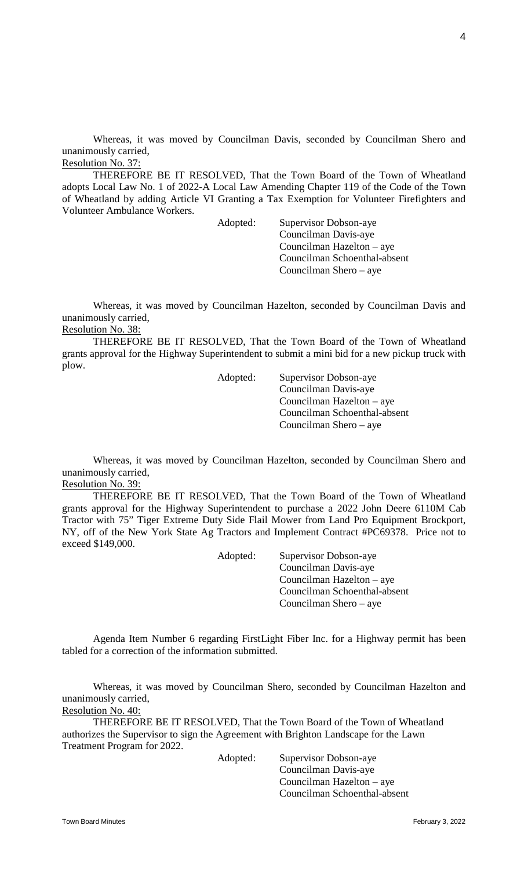Whereas, it was moved by Councilman Davis, seconded by Councilman Shero and unanimously carried,

Resolution No. 37:

THEREFORE BE IT RESOLVED, That the Town Board of the Town of Wheatland adopts Local Law No. 1 of 2022-A Local Law Amending Chapter 119 of the Code of the Town of Wheatland by adding Article VI Granting a Tax Exemption for Volunteer Firefighters and Volunteer Ambulance Workers.

> Adopted: Supervisor Dobson-aye Councilman Davis-aye Councilman Hazelton – aye Councilman Schoenthal-absent Councilman Shero – aye

Whereas, it was moved by Councilman Hazelton, seconded by Councilman Davis and unanimously carried, Resolution No. 38:

THEREFORE BE IT RESOLVED, That the Town Board of the Town of Wheatland grants approval for the Highway Superintendent to submit a mini bid for a new pickup truck with plow.

Adopted: Supervisor Dobson-aye Councilman Davis-aye Councilman Hazelton – aye Councilman Schoenthal-absent Councilman Shero – aye

Whereas, it was moved by Councilman Hazelton, seconded by Councilman Shero and unanimously carried, Resolution No. 39:

THEREFORE BE IT RESOLVED, That the Town Board of the Town of Wheatland grants approval for the Highway Superintendent to purchase a 2022 John Deere 6110M Cab Tractor with 75" Tiger Extreme Duty Side Flail Mower from Land Pro Equipment Brockport, NY, off of the New York State Ag Tractors and Implement Contract #PC69378. Price not to exceed \$149,000.

> Adopted: Supervisor Dobson-aye Councilman Davis-aye Councilman Hazelton – aye Councilman Schoenthal-absent

> > Councilman Shero – aye

Agenda Item Number 6 regarding FirstLight Fiber Inc. for a Highway permit has been tabled for a correction of the information submitted.

Whereas, it was moved by Councilman Shero, seconded by Councilman Hazelton and unanimously carried,

Resolution No. 40:

THEREFORE BE IT RESOLVED, That the Town Board of the Town of Wheatland authorizes the Supervisor to sign the Agreement with Brighton Landscape for the Lawn Treatment Program for 2022.

Adopted: Supervisor Dobson-aye Councilman Davis-aye Councilman Hazelton – aye Councilman Schoenthal-absent